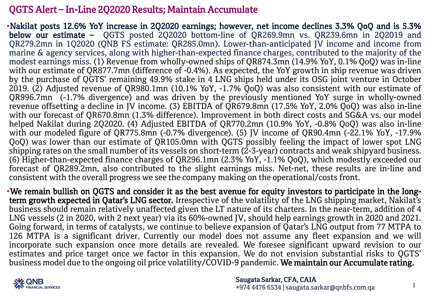## QGTS Alert – In-Line 2Q2020 Results; Maintain Accumulate

•Nakilat posts 12.6% YoY increase in 2Q2020 earnings; however, net income declines 3.3% QoQ and is 5.3% below our estimate – QGTS posted 2Q2020 bottom-line of QR269.9mn vs. QR239.6mn in 2Q2019 and QR279.2mn in 1Q2020 (QNB FS estimate: QR285.0mn). Lower-than-anticipated JV income and income from marine & agency services, along with higher-than-expected finance charges, contributed to the majority of the modest earnings miss. (1) Revenue from wholly-owned ships of QR874.3mn (14.9% YoY, 0.1% QoQ) was in-line with our estimate of QR877.7mn (difference of -0.4%). As expected, the YoY growth in ship revenue was driven by the purchase of QGTS' remaining 49.9% stake in 4 LNG ships held under its OSG joint venture in October 2019. (2) Adjusted revenue of QR980.1mn (10.1% YoY, -1.7% QoQ) was also consistent with our estimate of QR996.7mn (-1.7% divergence) and was driven by the previously mentioned YoY surge in wholly-owned revenue offsetting a decline in JV income. (3) EBITDA of QR679.8mn (17.5% YoY, 2.0% QoQ) was also in-line with our forecast of QR670.8mn (1.3% difference). Improvement in both direct costs and SG&A vs. our model helped Nakilat during 2Q2020. (4) Adjusted EBITDA of QR770.2mn (10.9% YoY, -0.8% QoQ) was also in-line with our modeled figure of QR775.8mn (-0.7% divergence). (5) IV income of QR90.4mn (-22.1% YoY, -17.9% QoQ) was lower than our estimate of QR105.0mn with QGTS possibly feeling the impact of lower spot LNG shipping rates on the small number of its vessels on short-term (2-3-year) contracts and weak shipyard business. (6) Higher-than-expected finance charges of QR296.1mn (2.3% YoY, -1.1% QoQ), which modestly exceeded our forecast of QR289.2mn, also contributed to the slight earnings miss. Net-net, these results are in-line and consistent with the overall progress we see the company making on the operational/costs front.

•We remain bullish on QGTS and consider it as the best avenue for equity investors to participate in the longterm growth expected in Qatar's LNG sector. Irrespective of the volatility of the LNG shipping market, Nakilat's business should remain relatively unaffected given the LT nature of its charters. In the near-term, addition of 4 LNG vessels (2 in 2020, with 2 next year) via its 60%-owned JV, should help earnings growth in 2020 and 2021. Going forward, in terms of catalysts, we continue to believe expansion of Qatar's LNG output from 77 MTPA to 126 MTPA is a significant driver. Currently our model does not assume any fleet expansion and we will incorporate such expansion once more details are revealed. We foresee significant upward revision to our estimates and price target once we factor in this expansion. We do not envision substantial risks to QGTS' business model due to the ongoing oil price volatility/COVID-9 pandemic. We maintain our Accumulate rating.



1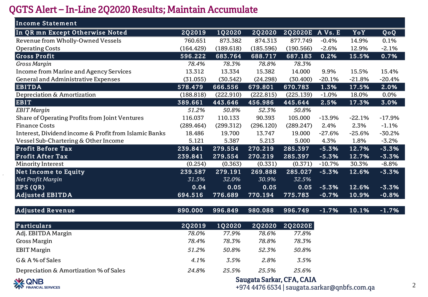## QGTS Alert – In-Line 2Q2020 Results; Maintain Accumulate

| <b>Income Statement</b>                               |           |           |               |           |          |          |          |
|-------------------------------------------------------|-----------|-----------|---------------|-----------|----------|----------|----------|
| In QR mn Except Otherwise Noted                       | 2Q2019    | 1Q2020    | <b>2Q2020</b> | 2Q2020E   | A Vs. E  | YoY      | QoQ      |
| Revenue from Wholly-Owned Vessels                     | 760.651   | 873.382   | 874.313       | 877.749   | $-0.4%$  | 14.9%    | 0.1%     |
| <b>Operating Costs</b>                                | (164.429) | (189.618) | (185.596)     | (190.566) | $-2.6%$  | 12.9%    | $-2.1%$  |
| <b>Gross Profit</b>                                   | 596.222   | 683.764   | 688.717       | 687.183   | 0.2%     | 15.5%    | 0.7%     |
| Gross Margin                                          | 78.4%     | 78.3%     | 78.8%         | 78.3%     |          |          |          |
| <b>Income from Marine and Agency Services</b>         | 13.312    | 13.334    | 15.382        | 14.000    | 9.9%     | 15.5%    | 15.4%    |
| General and Administrative Expenses                   | (31.055)  | (30.542)  | (24.298)      | (30.400)  | $-20.1%$ | $-21.8%$ | $-20.4%$ |
| <b>EBITDA</b>                                         | 578.479   | 666.556   | 679.801       | 670.783   | 1.3%     | 17.5%    | 2.0%     |
| Depreciation & Amortization                           | (188.818) | (222.910) | (222.815)     | (225.139) | $-1.0%$  | 18.0%    | 0.0%     |
| <b>EBIT</b>                                           | 389.661   | 443.646   | 456.986       | 445.644   | 2.5%     | 17.3%    | 3.0%     |
| <b>EBIT</b> Margin                                    | 51.2%     | 50.8%     | 52.3%         | 50.8%     |          |          |          |
| Share of Operating Profits from Joint Ventures        | 116.037   | 110.133   | 90.393        | 105.000   | $-13.9%$ | $-22.1%$ | $-17.9%$ |
| <b>Finance Costs</b>                                  | (289.464) | (299.312) | (296.120)     | (289.247) | 2.4%     | 2.3%     | $-1.1%$  |
| Interest, Dividend income & Profit from Islamic Banks | 18.486    | 19.700    | 13.747        | 19.000    | $-27.6%$ | $-25.6%$ | $-30.2%$ |
| Vessel Sub-Chartering & Other Income                  | 5.121     | 5.387     | 5.213         | 5.000     | 4.3%     | 1.8%     | $-3.2%$  |
| <b>Profit Before Tax</b>                              | 239.841   | 279.554   | 270.219       | 285.397   | $-5.3%$  | 12.7%    | $-3.3%$  |
| <b>Profit After Tax</b>                               | 239.841   | 279.554   | 270.219       | 285.397   | $-5.3%$  | 12.7%    | $-3.3%$  |
| Minority Interest                                     | (0.254)   | (0.363)   | (0.331)       | (0.371)   | $-10.7%$ | 30.3%    | $-8.8%$  |
| <b>Net Income to Equity</b>                           | 239.587   | 279.191   | 269.888       | 285.027   | $-5.3%$  | 12.6%    | $-3.3%$  |
| Net Profit Margin                                     | 31.5%     | 32.0%     | 30.9%         | 32.5%     |          |          |          |
| <b>EPS (QR)</b>                                       | 0.04      | 0.05      | 0.05          | 0.05      | $-5.3%$  | 12.6%    | $-3.3%$  |
| <b>Adjusted EBITDA</b>                                | 694.516   | 776.689   | 770.194       | 775.783   | $-0.7%$  | 10.9%    | $-0.8%$  |

| Adjusted Revenue | $890.000$ $996.849$ $980.088$ $996.749$ $-1.7\%$ $10.1\%$ $-1.7\%$ |  |  |  |
|------------------|--------------------------------------------------------------------|--|--|--|

| <b>Particulars</b>                     | 202019 | 102020 | 202020 | 202020E |
|----------------------------------------|--------|--------|--------|---------|
| Adj. EBITDA Margin                     | 78.0%  | 77.9%  | 78.6%  | 77.8%   |
| Gross Margin                           | 78.4%  | 78.3%  | 78.8%  | 78.3%   |
| <b>EBIT Margin</b>                     | 51.2%  | 50.8%  | 52.3%  | 50.8%   |
| G & A % of Sales                       | 4.1%   | 3.5%   | 2.8%   | 3.5%    |
| Depreciation & Amortization % of Sales | 24.8%  | 25.5%  | 25.5%  | 25.6%   |



Saugata Sarkar, CFA, CAIA

+974 4476 6534 | saugata.sarkar@qnbfs.com.qa